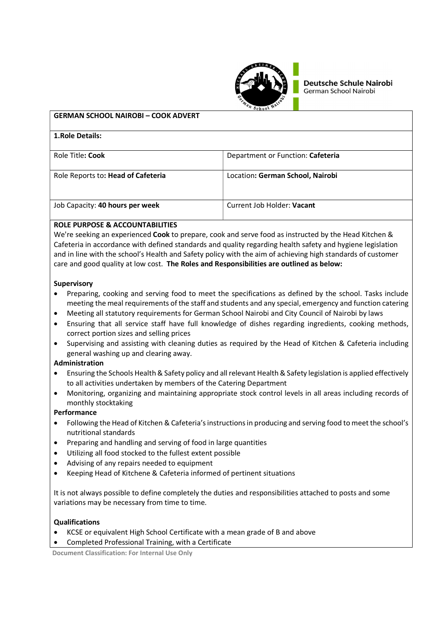

**Deutsche Schule Nairobi** German School Nairobi

|                                            | <sup>84</sup> School No.          |  |
|--------------------------------------------|-----------------------------------|--|
| <b>GERMAN SCHOOL NAIROBI - COOK ADVERT</b> |                                   |  |
| 1. Role Details:                           |                                   |  |
| Role Title: Cook                           | Department or Function: Cafeteria |  |
| Role Reports to: Head of Cafeteria         | Location: German School, Nairobi  |  |
|                                            |                                   |  |
| Job Capacity: 40 hours per week            | Current Job Holder: Vacant        |  |
|                                            |                                   |  |

# ROLE PURPOSE & ACCOUNTABILITIES

We're seeking an experienced Cook to prepare, cook and serve food as instructed by the Head Kitchen & Cafeteria in accordance with defined standards and quality regarding health safety and hygiene legislation and in line with the school's Health and Safety policy with the aim of achieving high standards of customer care and good quality at low cost. The Roles and Responsibilities are outlined as below:

#### **Supervisory**

- Preparing, cooking and serving food to meet the specifications as defined by the school. Tasks include meeting the meal requirements of the staff and students and any special, emergency and function catering
- Meeting all statutory requirements for German School Nairobi and City Council of Nairobi by laws
- Ensuring that all service staff have full knowledge of dishes regarding ingredients, cooking methods, correct portion sizes and selling prices
- Supervising and assisting with cleaning duties as required by the Head of Kitchen & Cafeteria including general washing up and clearing away.

#### Administration

- Ensuring the Schools Health & Safety policy and all relevant Health & Safety legislation is applied effectively to all activities undertaken by members of the Catering Department
- Monitoring, organizing and maintaining appropriate stock control levels in all areas including records of monthly stocktaking

# Performance

- Following the Head of Kitchen & Cafeteria's instructions in producing and serving food to meet the school's nutritional standards
- Preparing and handling and serving of food in large quantities
- Utilizing all food stocked to the fullest extent possible
- Advising of any repairs needed to equipment
- Keeping Head of Kitchene & Cafeteria informed of pertinent situations

It is not always possible to define completely the duties and responsibilities attached to posts and some variations may be necessary from time to time.

#### Qualifications

- KCSE or equivalent High School Certificate with a mean grade of B and above
- Completed Professional Training, with a Certificate

Document Classification: For Internal Use Only